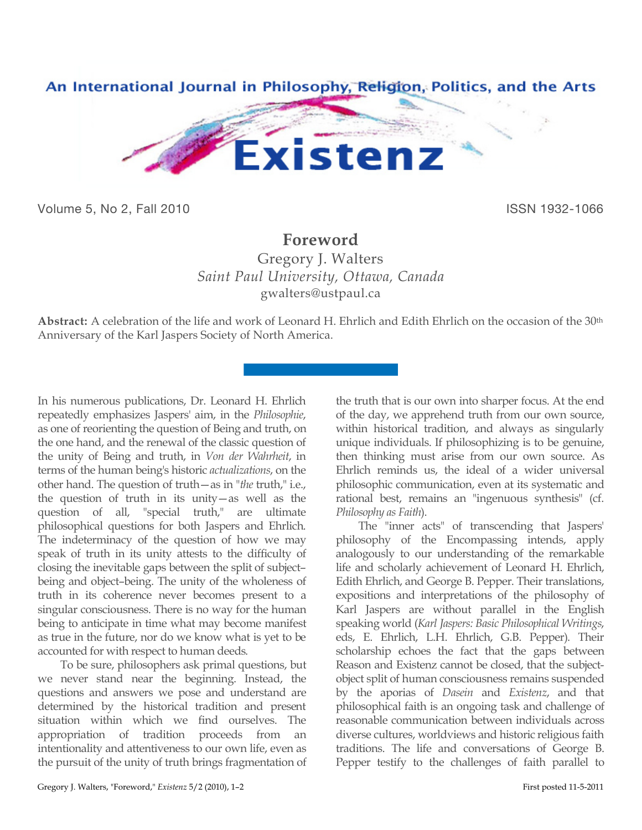

Volume 5, No 2, Fall 2010 **ISSN 1932-1066** 

## **Foreword**

Gregory J. Walters *Saint Paul University, Ottawa, Canada* gwalters@ustpaul.ca

**Abstract:** A celebration of the life and work of Leonard H. Ehrlich and Edith Ehrlich on the occasion of the 30th Anniversary of the Karl Jaspers Society of North America.

In his numerous publications, Dr. Leonard H. Ehrlich repeatedly emphasizes Jaspers' aim, in the *Philosophie*, as one of reorienting the question of Being and truth, on the one hand, and the renewal of the classic question of the unity of Being and truth, in *Von der Wahrheit*, in terms of the human being's historic *actualizations*, on the other hand. The question of truth—as in "*the* truth," i.e., the question of truth in its unity—as well as the question of all, "special truth," are ultimate philosophical questions for both Jaspers and Ehrlich. The indeterminacy of the question of how we may speak of truth in its unity attests to the difficulty of closing the inevitable gaps between the split of subject– being and object–being. The unity of the wholeness of truth in its coherence never becomes present to a singular consciousness. There is no way for the human being to anticipate in time what may become manifest as true in the future, nor do we know what is yet to be accounted for with respect to human deeds.

To be sure, philosophers ask primal questions, but we never stand near the beginning. Instead, the questions and answers we pose and understand are determined by the historical tradition and present situation within which we find ourselves. The appropriation of tradition proceeds from an intentionality and attentiveness to our own life, even as the pursuit of the unity of truth brings fragmentation of

the truth that is our own into sharper focus. At the end of the day, we apprehend truth from our own source, within historical tradition, and always as singularly unique individuals. If philosophizing is to be genuine, then thinking must arise from our own source. As Ehrlich reminds us, the ideal of a wider universal philosophic communication, even at its systematic and rational best, remains an "ingenuous synthesis" (cf. *Philosophy as Faith*).

The "inner acts" of transcending that Jaspers' philosophy of the Encompassing intends, apply analogously to our understanding of the remarkable life and scholarly achievement of Leonard H. Ehrlich, Edith Ehrlich, and George B. Pepper. Their translations, expositions and interpretations of the philosophy of Karl Jaspers are without parallel in the English speaking world (*Karl Jaspers: Basic Philosophical Writings*, eds, E. Ehrlich, L.H. Ehrlich, G.B. Pepper). Their scholarship echoes the fact that the gaps between Reason and Existenz cannot be closed, that the subjectobject split of human consciousness remains suspended by the aporias of *Dasein* and *Existenz*, and that philosophical faith is an ongoing task and challenge of reasonable communication between individuals across diverse cultures, worldviews and historic religious faith traditions. The life and conversations of George B. Pepper testify to the challenges of faith parallel to